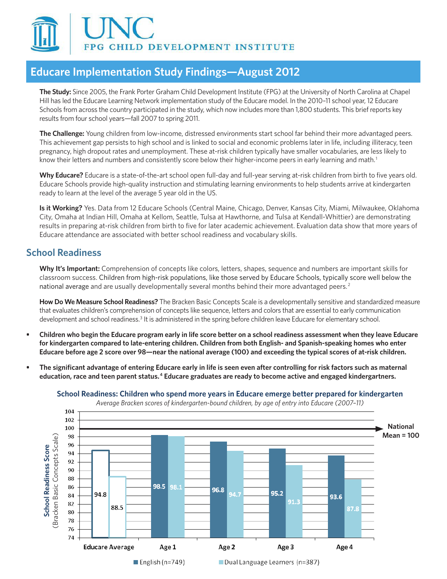

# **Educare Implementation Study Findings—August 2012**

**The Study:** Since 2005, the Frank Porter Graham Child Development Institute (FPG) at the University of North Carolina at Chapel Hill has led the Educare Learning Network implementation study of the Educare model. In the 2010–11 school year, 12 Educare Schools from across the country participated in the study, which now includes more than 1,800 students. This brief reports key results from four school years—fall 2007 to spring 2011.

**The Challenge:** Young children from low-income, distressed environments start school far behind their more advantaged peers. This achievement gap persists to high school and is linked to social and economic problems later in life, including illiteracy, teen pregnancy, high dropout rates and unemployment. These at-risk children typically have smaller vocabularies, are less likely to know their letters and numbers and consistently score below their higher-income peers in early learning and math. 1

**Why Educare?** Educare is a state-of-the-art school open full-day and full-year serving at-risk children from birth to five years old. Educare Schools provide high-quality instruction and stimulating learning environments to help students arrive at kindergarten ready to learn at the level of the average 5 year old in the US.

**Is it Working?** Yes. Data from 12 Educare Schools (Central Maine, Chicago, Denver, Kansas City, Miami, Milwaukee, Oklahoma City, Omaha at Indian Hill, Omaha at Kellom, Seattle, Tulsa at Hawthorne, and Tulsa at Kendall-Whittier) are demonstrating results in preparing at-risk children from birth to five for later academic achievement. Evaluation data show that more years of Educare attendance are associated with better school readiness and vocabulary skills.

## **School Readiness**

**Why It's Important:** Comprehension of concepts like colors, letters, shapes, sequence and numbers are important skills for classroom success. Children from high-risk populations, like those served by Educare Schools, typically score well below the national average and are usually developmentally several months behind their more advantaged peers. 2

**How Do We Measure School Readiness?** The Bracken Basic Concepts Scale is a developmentally sensitive and standardized measure that evaluates children's comprehension of concepts like sequence, letters and colors that are essential to early communication development and school readiness.<sup>3</sup> It is administered in the spring before children leave Educare for elementary school.

- Children who begin the Educare program early in life score better on a school readiness assessment when they leave Educare **for kindergarten compared to late-entering children. Children from both English- and Spanish-speaking homes who enter Educare before age 2 score over 98—near the national average (100) and exceeding the typical scores of at-risk children.**
- The significant advantage of entering Educare early in life is seen even after controlling for risk factors such as maternal **education, race and teen parent status. 4 Educare graduates are ready to become active and engaged kindergartners.**



**School Readiness: Children who spend more years in Educare emerge better prepared for kindergarten**

*Average Bracken scores of kindergarten-bound children, by age of entry into Educare (2007–11)*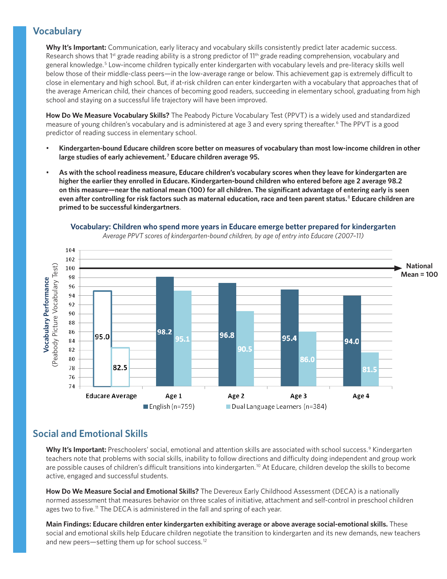### **Vocabulary**

Why It's Important: Communication, early literacy and vocabulary skills consistently predict later academic success. Research shows that  $1^{st}$  grade reading ability is a strong predictor of  $11^{th}$  grade reading comprehension, vocabulary and general knowledge. 5 Low-income children typically enter kindergarten with vocabulary levels and pre-literacy skills well below those of their middle-class peers—in the low-average range or below. This achievement gap is extremely difficult to close in elementary and high school. But, if at-risk children can enter kindergarten with a vocabulary that approaches that of the average American child, their chances of becoming good readers, succeeding in elementary school, graduating from high school and staying on a successful life trajectory will have been improved.

**How Do We Measure Vocabulary Skills?** The Peabody Picture Vocabulary Test (PPVT) is a widely used and standardized measure of young children's vocabulary and is administered at age 3 and every spring thereafter.<sup>6</sup> The PPVT is a good predictor of reading success in elementary school.

- Kindergarten-bound Educare children score better on measures of vocabulary than most low-income children in other **large studies of early achievement. 7 Educare children average 95.**
- As with the school readiness measure, Educare children's vocabulary scores when they leave for kindergarten are **higher the earlier they enrolled in Educare. Kindergarten-bound children who entered before age 2 average 98.2 on this measure—near the national mean (100) for all children. The significant advantage of entering early is seen even after controlling for risk factors such as maternal education, race and teen parent status.**<sup>8</sup>  **Educare children are primed to be successful kindergartners**.



**Vocabulary: Children who spend more years in Educare emerge better prepared for kindergarten** 

*Average PPVT scores of kindergarten-bound children, by age of entry into Educare (2007–11)*

## **Social and Emotional Skills**

Why It's Important: Preschoolers' social, emotional and attention skills are associated with school success.<sup>9</sup> Kindergarten teachers note that problems with social skills, inability to follow directions and difficulty doing independent and group work are possible causes of children's difficult transitions into kindergarten.<sup>10</sup> At Educare, children develop the skills to become active, engaged and successful students.

**How Do We Measure Social and Emotional Skills?** The Devereux Early Childhood Assessment (DECA) is a nationally normed assessment that measures behavior on three scales of initiative, attachment and self-control in preschool children ages two to five.<sup> $11$ </sup> The DECA is administered in the fall and spring of each year.

**Main Findings: Educare children enter kindergarten exhibiting average or above average social-emotional skills.** These social and emotional skills help Educare children negotiate the transition to kindergarten and its new demands, new teachers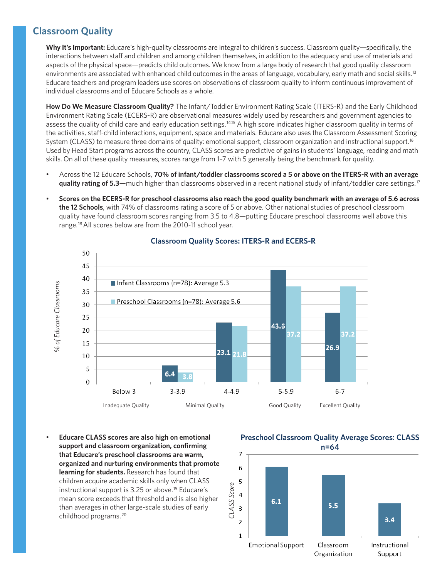### **Classroom Quality**

**Why It's Important:** Educare's high-quality classrooms are integral to children's success. Classroom quality—specifically, the interactions between staff and children and among children themselves, in addition to the adequacy and use of materials and aspects of the physical space—predicts child outcomes. We know from a large body of research that good quality classroom environments are associated with enhanced child outcomes in the areas of language, vocabulary, early math and social skills.<sup>13</sup> Educare teachers and program leaders use scores on observations of classroom quality to inform continuous improvement of individual classrooms and of Educare Schools as a whole.

**How Do We Measure Classroom Quality?** The Infant/Toddler Environment Rating Scale (ITERS-R) and the Early Childhood Environment Rating Scale (ECERS-R) are observational measures widely used by researchers and government agencies to assess the quality of child care and early education settings.<sup>14,15</sup> A high score indicates higher classroom quality in terms of the activities, staff-child interactions, equipment, space and materials. Educare also uses the Classroom Assessment Scoring System (CLASS) to measure three domains of quality: emotional support, classroom organization and instructional support.<sup>16</sup> Used by Head Start programs across the country, CLASS scores are predictive of gains in students' language, reading and math skills. On all of these quality measures, scores range from 1–7 with 5 generally being the benchmark for quality.

- Across the 12 Educare Schools, 70% of infant/toddler classrooms scored a 5 or above on the ITERS-R with an average **quality rating of 5.3**—much higher than classrooms observed in a recent national study of infant/toddler care settings. 17
- Scores on the ECERS-R for preschool classrooms also reach the good quality benchmark with an average of 5.6 across **the 12 Schools**, with 74% of classrooms rating a score of 5 or above. Other national studies of preschool classroom quality have found classroom scores ranging from 3.5 to 4.8—putting Educare preschool classrooms well above this range.<sup>18</sup> All scores below are from the 2010-11 school year.



#### **Classroom Quality Scores: ITERS-R and ECERS-R**

**Educare CLASS scores are also high on emotional support and classroom organization, confirming that Educare's preschool classrooms are warm, organized and nurturing environments that promote learning for students.** Research has found that children acquire academic skills only when CLASS instructional support is 3.25 or above. 19 Educare's mean score exceeds that threshold and is also higher than averages in other large-scale studies of early